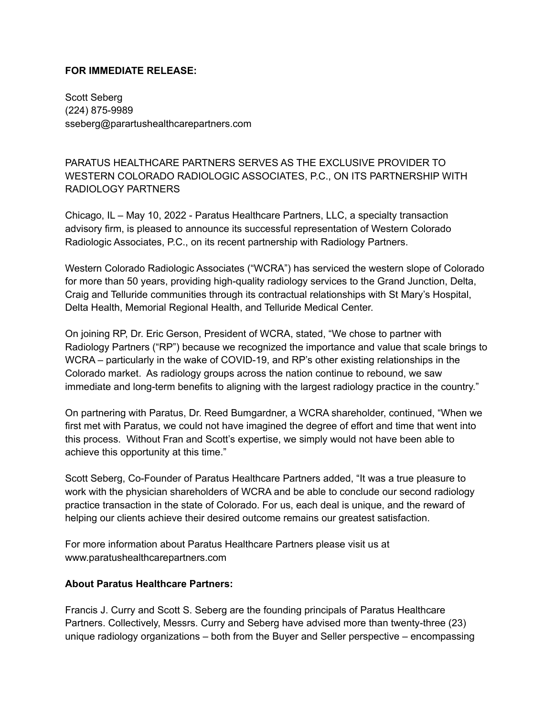## **FOR IMMEDIATE RELEASE:**

Scott Seberg (224) 875-9989 sseberg@parartushealthcarepartners.com

PARATUS HEALTHCARE PARTNERS SERVES AS THE EXCLUSIVE PROVIDER TO WESTERN COLORADO RADIOLOGIC ASSOCIATES, P.C., ON ITS PARTNERSHIP WITH RADIOLOGY PARTNERS

Chicago, IL – May 10, 2022 - Paratus Healthcare Partners, LLC, a specialty transaction advisory firm, is pleased to announce its successful representation of Western Colorado Radiologic Associates, P.C., on its recent partnership with Radiology Partners.

Western Colorado Radiologic Associates ("WCRA") has serviced the western slope of Colorado for more than 50 years, providing high-quality radiology services to the Grand Junction, Delta, Craig and Telluride communities through its contractual relationships with St Mary's Hospital, Delta Health, Memorial Regional Health, and Telluride Medical Center.

On joining RP, Dr. Eric Gerson, President of WCRA, stated, "We chose to partner with Radiology Partners ("RP") because we recognized the importance and value that scale brings to WCRA – particularly in the wake of COVID-19, and RP's other existing relationships in the Colorado market. As radiology groups across the nation continue to rebound, we saw immediate and long-term benefits to aligning with the largest radiology practice in the country."

On partnering with Paratus, Dr. Reed Bumgardner, a WCRA shareholder, continued, "When we first met with Paratus, we could not have imagined the degree of effort and time that went into this process. Without Fran and Scott's expertise, we simply would not have been able to achieve this opportunity at this time."

Scott Seberg, Co-Founder of Paratus Healthcare Partners added, "It was a true pleasure to work with the physician shareholders of WCRA and be able to conclude our second radiology practice transaction in the state of Colorado. For us, each deal is unique, and the reward of helping our clients achieve their desired outcome remains our greatest satisfaction.

For more information about Paratus Healthcare Partners please visit us at www.paratushealthcarepartners.com

## **About Paratus Healthcare Partners:**

Francis J. Curry and Scott S. Seberg are the founding principals of Paratus Healthcare Partners. Collectively, Messrs. Curry and Seberg have advised more than twenty-three (23) unique radiology organizations – both from the Buyer and Seller perspective – encompassing